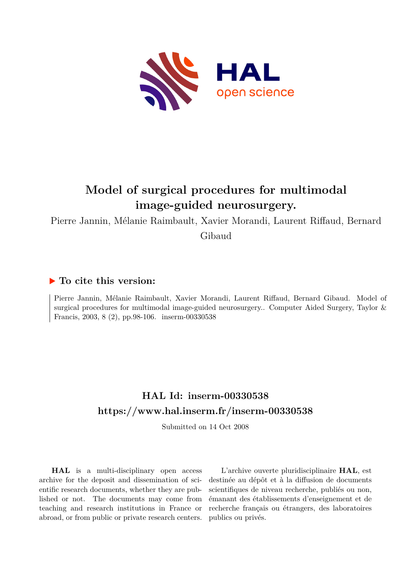

# **Model of surgical procedures for multimodal image-guided neurosurgery.**

Pierre Jannin, Mélanie Raimbault, Xavier Morandi, Laurent Riffaud, Bernard

Gibaud

# **To cite this version:**

Pierre Jannin, Mélanie Raimbault, Xavier Morandi, Laurent Riffaud, Bernard Gibaud. Model of surgical procedures for multimodal image-guided neurosurgery.. Computer Aided Surgery, Taylor & Francis, 2003, 8  $(2)$ , pp.98-106. inserm-00330538

# **HAL Id: inserm-00330538 <https://www.hal.inserm.fr/inserm-00330538>**

Submitted on 14 Oct 2008

**HAL** is a multi-disciplinary open access archive for the deposit and dissemination of scientific research documents, whether they are published or not. The documents may come from teaching and research institutions in France or abroad, or from public or private research centers.

L'archive ouverte pluridisciplinaire **HAL**, est destinée au dépôt et à la diffusion de documents scientifiques de niveau recherche, publiés ou non, émanant des établissements d'enseignement et de recherche français ou étrangers, des laboratoires publics ou privés.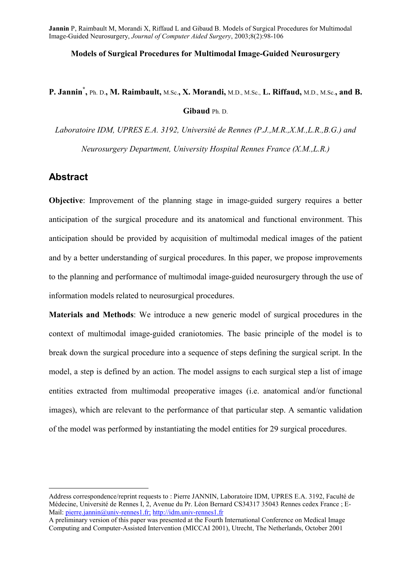**Models of Surgical Procedures for Multimodal Image-Guided Neurosurgery**

# **P. Jannin\* ,** Ph. D.**, M. Raimbault,** M.Sc.**, X. Morandi,** M.D., M.Sc., **L. Riffaud,** M.D., M.Sc.**, and B. Gibaud** Ph. D.

*Laboratoire IDM, UPRES E.A. 3192, Université de Rennes (P.J.,M.R.,X.M.,L.R.,B.G.) and Neurosurgery Department, University Hospital Rennes France (X.M.,L.R.)* 

# **Abstract**

 $\overline{a}$ 

**Objective**: Improvement of the planning stage in image-guided surgery requires a better anticipation of the surgical procedure and its anatomical and functional environment. This anticipation should be provided by acquisition of multimodal medical images of the patient and by a better understanding of surgical procedures. In this paper, we propose improvements to the planning and performance of multimodal image-guided neurosurgery through the use of information models related to neurosurgical procedures.

**Materials and Methods**: We introduce a new generic model of surgical procedures in the context of multimodal image-guided craniotomies. The basic principle of the model is to break down the surgical procedure into a sequence of steps defining the surgical script. In the model, a step is defined by an action. The model assigns to each surgical step a list of image entities extracted from multimodal preoperative images (i.e. anatomical and/or functional images), which are relevant to the performance of that particular step. A semantic validation of the model was performed by instantiating the model entities for 29 surgical procedures.

Address correspondence/reprint requests to : Pierre JANNIN, Laboratoire IDM, UPRES E.A. 3192, Faculté de Médecine, Université de Rennes I, 2, Avenue du Pr. Léon Bernard CS34317 35043 Rennes cedex France ; E-Mail: pierre.jannin@univ-rennes1.fr; http://idm.univ-rennes1.fr

A preliminary version of this paper was presented at the Fourth International Conference on Medical Image Computing and Computer-Assisted Intervention (MICCAI 2001), Utrecht, The Netherlands, October 2001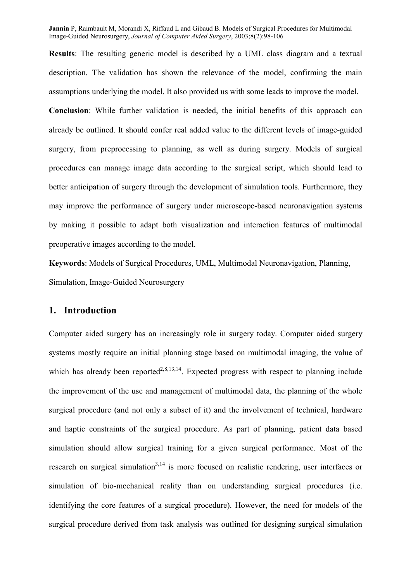**Results**: The resulting generic model is described by a UML class diagram and a textual description. The validation has shown the relevance of the model, confirming the main assumptions underlying the model. It also provided us with some leads to improve the model.

**Conclusion**: While further validation is needed, the initial benefits of this approach can already be outlined. It should confer real added value to the different levels of image-guided surgery, from preprocessing to planning, as well as during surgery. Models of surgical procedures can manage image data according to the surgical script, which should lead to better anticipation of surgery through the development of simulation tools. Furthermore, they may improve the performance of surgery under microscope-based neuronavigation systems by making it possible to adapt both visualization and interaction features of multimodal preoperative images according to the model.

**Keywords**: Models of Surgical Procedures, UML, Multimodal Neuronavigation, Planning, Simulation, Image-Guided Neurosurgery

### **1. Introduction**

Computer aided surgery has an increasingly role in surgery today. Computer aided surgery systems mostly require an initial planning stage based on multimodal imaging, the value of which has already been reported<sup>2,8,13,14</sup>. Expected progress with respect to planning include the improvement of the use and management of multimodal data, the planning of the whole surgical procedure (and not only a subset of it) and the involvement of technical, hardware and haptic constraints of the surgical procedure. As part of planning, patient data based simulation should allow surgical training for a given surgical performance. Most of the research on surgical simulation<sup>3,14</sup> is more focused on realistic rendering, user interfaces or simulation of bio-mechanical reality than on understanding surgical procedures (i.e. identifying the core features of a surgical procedure). However, the need for models of the surgical procedure derived from task analysis was outlined for designing surgical simulation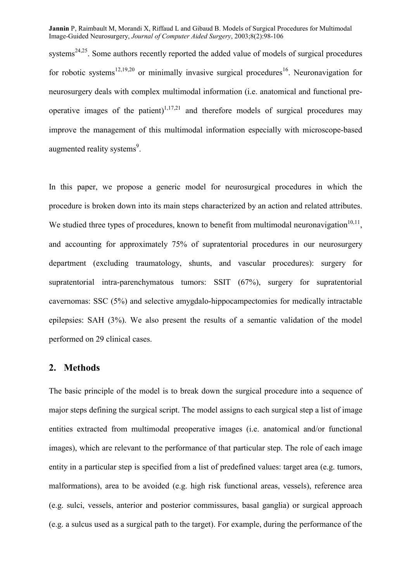systems<sup>24,25</sup>. Some authors recently reported the added value of models of surgical procedures for robotic systems<sup>12,19,20</sup> or minimally invasive surgical procedures<sup>16</sup>. Neuronavigation for neurosurgery deals with complex multimodal information (i.e. anatomical and functional preoperative images of the patient)<sup>1,17,21</sup> and therefore models of surgical procedures may improve the management of this multimodal information especially with microscope-based augmented reality systems<sup>9</sup>.

In this paper, we propose a generic model for neurosurgical procedures in which the procedure is broken down into its main steps characterized by an action and related attributes. We studied three types of procedures, known to benefit from multimodal neuronavigation<sup>10,11</sup>, and accounting for approximately 75% of supratentorial procedures in our neurosurgery department (excluding traumatology, shunts, and vascular procedures): surgery for supratentorial intra-parenchymatous tumors: SSIT (67%), surgery for supratentorial cavernomas: SSC (5%) and selective amygdalo-hippocampectomies for medically intractable epilepsies: SAH (3%). We also present the results of a semantic validation of the model performed on 29 clinical cases.

### **2. Methods**

The basic principle of the model is to break down the surgical procedure into a sequence of major steps defining the surgical script. The model assigns to each surgical step a list of image entities extracted from multimodal preoperative images (i.e. anatomical and/or functional images), which are relevant to the performance of that particular step. The role of each image entity in a particular step is specified from a list of predefined values: target area (e.g. tumors, malformations), area to be avoided (e.g. high risk functional areas, vessels), reference area (e.g. sulci, vessels, anterior and posterior commissures, basal ganglia) or surgical approach (e.g. a sulcus used as a surgical path to the target). For example, during the performance of the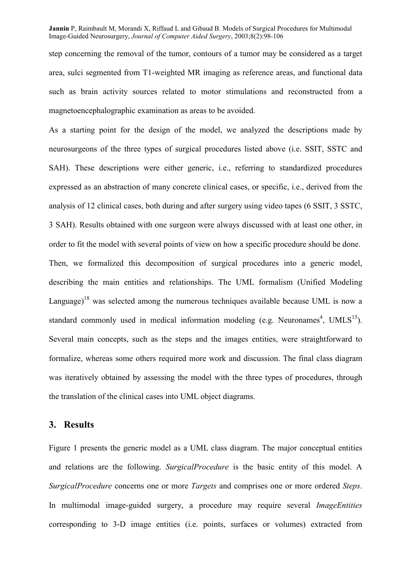step concerning the removal of the tumor, contours of a tumor may be considered as a target area, sulci segmented from T1-weighted MR imaging as reference areas, and functional data such as brain activity sources related to motor stimulations and reconstructed from a magnetoencephalographic examination as areas to be avoided.

As a starting point for the design of the model, we analyzed the descriptions made by neurosurgeons of the three types of surgical procedures listed above (i.e. SSIT, SSTC and SAH). These descriptions were either generic, i.e., referring to standardized procedures expressed as an abstraction of many concrete clinical cases, or specific, i.e., derived from the analysis of 12 clinical cases, both during and after surgery using video tapes (6 SSIT, 3 SSTC, 3 SAH). Results obtained with one surgeon were always discussed with at least one other, in order to fit the model with several points of view on how a specific procedure should be done. Then, we formalized this decomposition of surgical procedures into a generic model, describing the main entities and relationships. The UML formalism (Unified Modeling Language)<sup>18</sup> was selected among the numerous techniques available because UML is now a standard commonly used in medical information modeling (e.g. Neuronames<sup>4</sup>, UMLS<sup>15</sup>). Several main concepts, such as the steps and the images entities, were straightforward to formalize, whereas some others required more work and discussion. The final class diagram was iteratively obtained by assessing the model with the three types of procedures, through the translation of the clinical cases into UML object diagrams.

#### **3. Results**

Figure 1 presents the generic model as a UML class diagram. The major conceptual entities and relations are the following. *SurgicalProcedure* is the basic entity of this model. A *SurgicalProcedure* concerns one or more *Targets* and comprises one or more ordered *Steps*. In multimodal image-guided surgery, a procedure may require several *ImageEntities* corresponding to 3-D image entities (i.e. points, surfaces or volumes) extracted from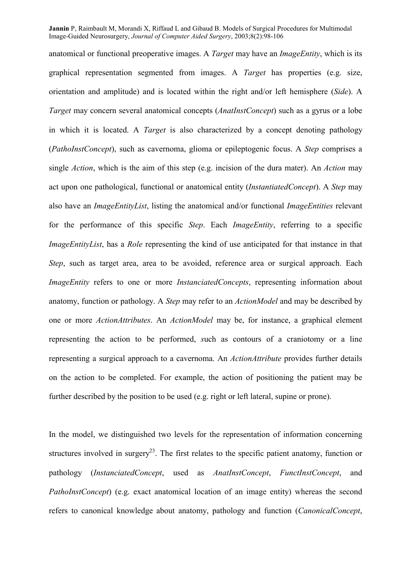anatomical or functional preoperative images. A *Target* may have an *ImageEntity*, which is its graphical representation segmented from images. A *Target* has properties (e.g. size, orientation and amplitude) and is located within the right and/or left hemisphere (*Side*). A *Target* may concern several anatomical concepts (*AnatInstConcept*) such as a gyrus or a lobe in which it is located. A *Target* is also characterized by a concept denoting pathology (*PathoInstConcept*), such as cavernoma, glioma or epileptogenic focus. A *Step* comprises a single *Action*, which is the aim of this step (e.g. incision of the dura mater). An *Action* may act upon one pathological, functional or anatomical entity (*InstantiatedConcept*). A *Step* may also have an *ImageEntityList*, listing the anatomical and/or functional *ImageEntities* relevant for the performance of this specific *Step*. Each *ImageEntity*, referring to a specific *ImageEntityList*, has a *Role* representing the kind of use anticipated for that instance in that *Step*, such as target area, area to be avoided, reference area or surgical approach. Each *ImageEntity* refers to one or more *InstanciatedConcepts*, representing information about anatomy, function or pathology. A *Step* may refer to an *ActionModel* and may be described by one or more *ActionAttributes*. An *ActionModel* may be, for instance, a graphical element representing the action to be performed, *s*uch as contours of a craniotomy or a line representing a surgical approach to a cavernoma. An *ActionAttribute* provides further details on the action to be completed. For example, the action of positioning the patient may be further described by the position to be used (e.g. right or left lateral, supine or prone).

In the model, we distinguished two levels for the representation of information concerning structures involved in surgery<sup>23</sup>. The first relates to the specific patient anatomy, function or pathology (*InstanciatedConcept*, used as *AnatInstConcept*, *FunctInstConcept*, and *PathoInstConcept*) (e.g. exact anatomical location of an image entity) whereas the second refers to canonical knowledge about anatomy, pathology and function (*CanonicalConcept*,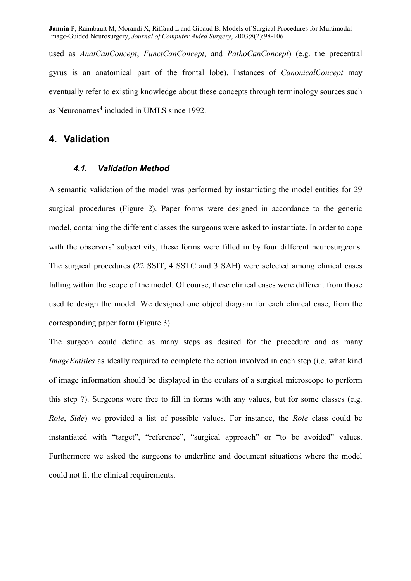used as *AnatCanConcept*, *FunctCanConcept*, and *PathoCanConcept*) (e.g. the precentral gyrus is an anatomical part of the frontal lobe). Instances of *CanonicalConcept* may eventually refer to existing knowledge about these concepts through terminology sources such as Neuronames $4$  included in UMLS since 1992.

### **4. Validation**

#### *4.1. Validation Method*

A semantic validation of the model was performed by instantiating the model entities for 29 surgical procedures (Figure 2). Paper forms were designed in accordance to the generic model, containing the different classes the surgeons were asked to instantiate. In order to cope with the observers' subjectivity, these forms were filled in by four different neurosurgeons. The surgical procedures (22 SSIT, 4 SSTC and 3 SAH) were selected among clinical cases falling within the scope of the model. Of course, these clinical cases were different from those used to design the model. We designed one object diagram for each clinical case, from the corresponding paper form (Figure 3).

The surgeon could define as many steps as desired for the procedure and as many *ImageEntities* as ideally required to complete the action involved in each step (i.e. what kind of image information should be displayed in the oculars of a surgical microscope to perform this step ?). Surgeons were free to fill in forms with any values, but for some classes (e.g. *Role*, *Side*) we provided a list of possible values. For instance, the *Role* class could be instantiated with "target", "reference", "surgical approach" or "to be avoided" values. Furthermore we asked the surgeons to underline and document situations where the model could not fit the clinical requirements.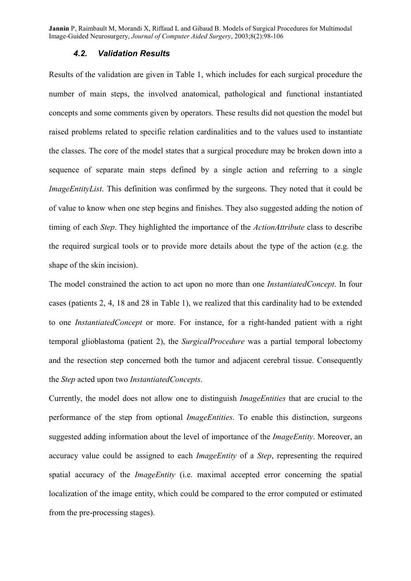#### *4.2. Validation Results*

Results of the validation are given in Table 1, which includes for each surgical procedure the number of main steps, the involved anatomical, pathological and functional instantiated concepts and some comments given by operators. These results did not question the model but raised problems related to specific relation cardinalities and to the values used to instantiate the classes. The core of the model states that a surgical procedure may be broken down into a sequence of separate main steps defined by a single action and referring to a single *ImageEntityList*. This definition was confirmed by the surgeons. They noted that it could be of value to know when one step begins and finishes. They also suggested adding the notion of timing of each *Step*. They highlighted the importance of the *ActionAttribute* class to describe the required surgical tools or to provide more details about the type of the action (e.g. the shape of the skin incision).

The model constrained the action to act upon no more than one *InstantiatedConcept*. In four cases (patients 2, 4, 18 and 28 in Table 1), we realized that this cardinality had to be extended to one *InstantiatedConcept* or more. For instance, for a right-handed patient with a right temporal glioblastoma (patient 2), the *SurgicalProcedure* was a partial temporal lobectomy and the resection step concerned both the tumor and adjacent cerebral tissue. Consequently the *Step* acted upon two *InstantiatedConcepts*.

Currently, the model does not allow one to distinguish *ImageEntities* that are crucial to the performance of the step from optional *ImageEntities*. To enable this distinction, surgeons suggested adding information about the level of importance of the *ImageEntity*. Moreover, an accuracy value could be assigned to each *ImageEntity* of a *Step*, representing the required spatial accuracy of the *ImageEntity* (i.e. maximal accepted error concerning the spatial localization of the image entity, which could be compared to the error computed or estimated from the pre-processing stages).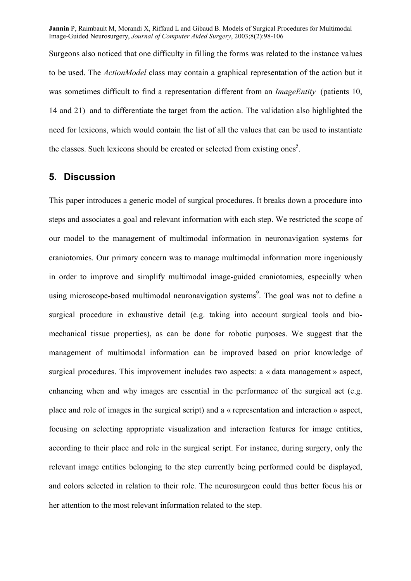Surgeons also noticed that one difficulty in filling the forms was related to the instance values to be used. The *ActionModel* class may contain a graphical representation of the action but it was sometimes difficult to find a representation different from an *ImageEntity* (patients 10, 14 and 21) and to differentiate the target from the action. The validation also highlighted the need for lexicons, which would contain the list of all the values that can be used to instantiate the classes. Such lexicons should be created or selected from existing ones<sup>5</sup>.

#### **5. Discussion**

This paper introduces a generic model of surgical procedures. It breaks down a procedure into steps and associates a goal and relevant information with each step. We restricted the scope of our model to the management of multimodal information in neuronavigation systems for craniotomies. Our primary concern was to manage multimodal information more ingeniously in order to improve and simplify multimodal image-guided craniotomies, especially when using microscope-based multimodal neuronavigation systems<sup>9</sup>. The goal was not to define a surgical procedure in exhaustive detail (e.g. taking into account surgical tools and biomechanical tissue properties), as can be done for robotic purposes. We suggest that the management of multimodal information can be improved based on prior knowledge of surgical procedures. This improvement includes two aspects: a « data management » aspect, enhancing when and why images are essential in the performance of the surgical act (e.g. place and role of images in the surgical script) and a « representation and interaction » aspect, focusing on selecting appropriate visualization and interaction features for image entities, according to their place and role in the surgical script. For instance, during surgery, only the relevant image entities belonging to the step currently being performed could be displayed, and colors selected in relation to their role. The neurosurgeon could thus better focus his or her attention to the most relevant information related to the step.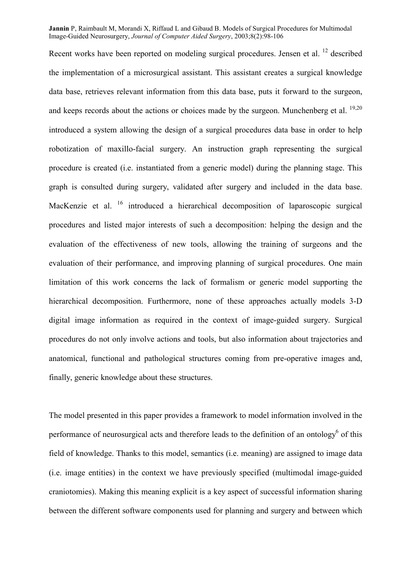Recent works have been reported on modeling surgical procedures. Jensen et al. <sup>12</sup> described the implementation of a microsurgical assistant. This assistant creates a surgical knowledge data base, retrieves relevant information from this data base, puts it forward to the surgeon, and keeps records about the actions or choices made by the surgeon. Munchenberg et al.  $^{19,20}$ introduced a system allowing the design of a surgical procedures data base in order to help robotization of maxillo-facial surgery. An instruction graph representing the surgical procedure is created (i.e. instantiated from a generic model) during the planning stage. This graph is consulted during surgery, validated after surgery and included in the data base. MacKenzie et al. <sup>16</sup> introduced a hierarchical decomposition of laparoscopic surgical procedures and listed major interests of such a decomposition: helping the design and the evaluation of the effectiveness of new tools, allowing the training of surgeons and the evaluation of their performance, and improving planning of surgical procedures. One main limitation of this work concerns the lack of formalism or generic model supporting the hierarchical decomposition. Furthermore, none of these approaches actually models 3-D digital image information as required in the context of image-guided surgery. Surgical procedures do not only involve actions and tools, but also information about trajectories and anatomical, functional and pathological structures coming from pre-operative images and, finally, generic knowledge about these structures.

The model presented in this paper provides a framework to model information involved in the performance of neurosurgical acts and therefore leads to the definition of an ontology $^6$  of this field of knowledge. Thanks to this model, semantics (i.e. meaning) are assigned to image data (i.e. image entities) in the context we have previously specified (multimodal image-guided craniotomies). Making this meaning explicit is a key aspect of successful information sharing between the different software components used for planning and surgery and between which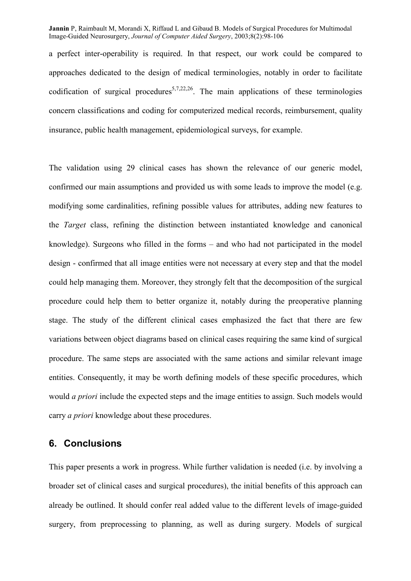a perfect inter-operability is required. In that respect, our work could be compared to approaches dedicated to the design of medical terminologies, notably in order to facilitate codification of surgical procedures<sup>5,7,22,26</sup>. The main applications of these terminologies concern classifications and coding for computerized medical records, reimbursement, quality insurance, public health management, epidemiological surveys, for example.

The validation using 29 clinical cases has shown the relevance of our generic model, confirmed our main assumptions and provided us with some leads to improve the model (e.g. modifying some cardinalities, refining possible values for attributes, adding new features to the *Target* class, refining the distinction between instantiated knowledge and canonical knowledge). Surgeons who filled in the forms – and who had not participated in the model design - confirmed that all image entities were not necessary at every step and that the model could help managing them. Moreover, they strongly felt that the decomposition of the surgical procedure could help them to better organize it, notably during the preoperative planning stage. The study of the different clinical cases emphasized the fact that there are few variations between object diagrams based on clinical cases requiring the same kind of surgical procedure. The same steps are associated with the same actions and similar relevant image entities. Consequently, it may be worth defining models of these specific procedures, which would *a priori* include the expected steps and the image entities to assign. Such models would carry *a priori* knowledge about these procedures.

## **6. Conclusions**

This paper presents a work in progress. While further validation is needed (i.e. by involving a broader set of clinical cases and surgical procedures), the initial benefits of this approach can already be outlined. It should confer real added value to the different levels of image-guided surgery, from preprocessing to planning, as well as during surgery. Models of surgical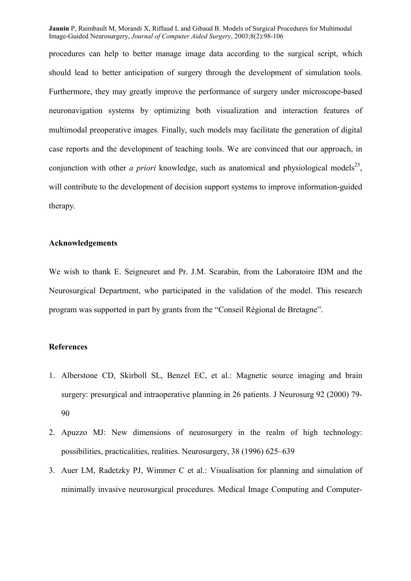procedures can help to better manage image data according to the surgical script, which should lead to better anticipation of surgery through the development of simulation tools. Furthermore, they may greatly improve the performance of surgery under microscope-based neuronavigation systems by optimizing both visualization and interaction features of multimodal preoperative images. Finally, such models may facilitate the generation of digital case reports and the development of teaching tools. We are convinced that our approach, in conjunction with other *a priori* knowledge, such as anatomical and physiological models<sup>25</sup>. will contribute to the development of decision support systems to improve information-guided therapy.

#### **Acknowledgements**

We wish to thank E. Seigneuret and Pr. J.M. Scarabin, from the Laboratoire IDM and the Neurosurgical Department, who participated in the validation of the model. This research program was supported in part by grants from the "Conseil Régional de Bretagne".

#### **References**

- 1. Alberstone CD, Skirboll SL, Benzel EC, et al.: Magnetic source imaging and brain surgery: presurgical and intraoperative planning in 26 patients. J Neurosurg 92 (2000) 79- 90
- 2. Apuzzo MJ: New dimensions of neurosurgery in the realm of high technology: possibilities, practicalities, realities. Neurosurgery, 38 (1996) 625–639
- 3. Auer LM, Radetzky PJ, Wimmer C et al.: Visualisation for planning and simulation of minimally invasive neurosurgical procedures. Medical Image Computing and Computer-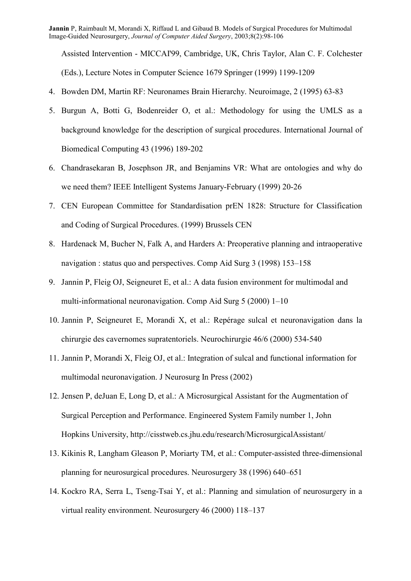Assisted Intervention - MICCAI'99, Cambridge, UK, Chris Taylor, Alan C. F. Colchester (Eds.), Lecture Notes in Computer Science 1679 Springer (1999) 1199-1209

- 4. Bowden DM, Martin RF: Neuronames Brain Hierarchy. Neuroimage, 2 (1995) 63-83
- 5. Burgun A, Botti G, Bodenreider O, et al.: Methodology for using the UMLS as a background knowledge for the description of surgical procedures. International Journal of Biomedical Computing 43 (1996) 189-202
- 6. Chandrasekaran B, Josephson JR, and Benjamins VR: What are ontologies and why do we need them? IEEE Intelligent Systems January-February (1999) 20-26
- 7. CEN European Committee for Standardisation prEN 1828: Structure for Classification and Coding of Surgical Procedures. (1999) Brussels CEN
- 8. Hardenack M, Bucher N, Falk A, and Harders A: Preoperative planning and intraoperative navigation : status quo and perspectives. Comp Aid Surg 3 (1998) 153–158
- 9. Jannin P, Fleig OJ, Seigneuret E, et al.: A data fusion environment for multimodal and multi-informational neuronavigation. Comp Aid Surg 5 (2000) 1–10
- 10. Jannin P, Seigneuret E, Morandi X, et al.: Repérage sulcal et neuronavigation dans la chirurgie des cavernomes supratentoriels. Neurochirurgie 46/6 (2000) 534-540
- 11. Jannin P, Morandi X, Fleig OJ, et al.: Integration of sulcal and functional information for multimodal neuronavigation. J Neurosurg In Press (2002)
- 12. Jensen P, deJuan E, Long D, et al.: A Microsurgical Assistant for the Augmentation of Surgical Perception and Performance. Engineered System Family number 1, John Hopkins University, http://cisstweb.cs.jhu.edu/research/MicrosurgicalAssistant/
- 13. Kikinis R, Langham Gleason P, Moriarty TM, et al.: Computer-assisted three-dimensional planning for neurosurgical procedures. Neurosurgery 38 (1996) 640–651
- 14. Kockro RA, Serra L, Tseng-Tsai Y, et al.: Planning and simulation of neurosurgery in a virtual reality environment. Neurosurgery 46 (2000) 118–137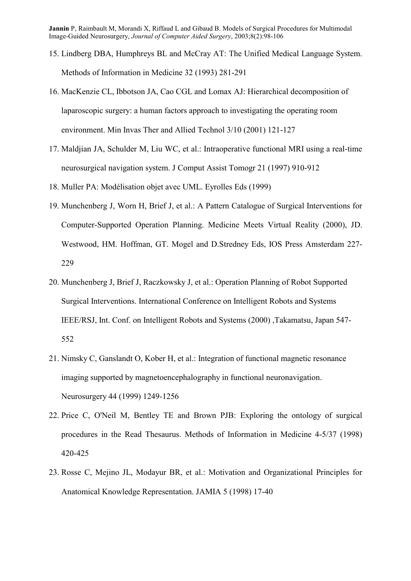- 15. Lindberg DBA, Humphreys BL and McCray AT: The Unified Medical Language System. Methods of Information in Medicine 32 (1993) 281-291
- 16. MacKenzie CL, Ibbotson JA, Cao CGL and Lomax AJ: Hierarchical decomposition of laparoscopic surgery: a human factors approach to investigating the operating room environment. Min Invas Ther and Allied Technol 3/10 (2001) 121-127
- 17. Maldjian JA, Schulder M, Liu WC, et al.: Intraoperative functional MRI using a real-time neurosurgical navigation system. J Comput Assist Tomogr 21 (1997) 910-912
- 18. Muller PA: Modélisation objet avec UML. Eyrolles Eds (1999)
- 19. Munchenberg J, Worn H, Brief J, et al.: A Pattern Catalogue of Surgical Interventions for Computer-Supported Operation Planning. Medicine Meets Virtual Reality (2000), JD. Westwood, HM. Hoffman, GT. Mogel and D.Stredney Eds, IOS Press Amsterdam 227- 229
- 20. Munchenberg J, Brief J, Raczkowsky J, et al.: Operation Planning of Robot Supported Surgical Interventions. International Conference on Intelligent Robots and Systems IEEE/RSJ, Int. Conf. on Intelligent Robots and Systems (2000) ,Takamatsu, Japan 547- 552
- 21. Nimsky C, Ganslandt O, Kober H, et al.: Integration of functional magnetic resonance imaging supported by magnetoencephalography in functional neuronavigation. Neurosurgery 44 (1999) 1249-1256
- 22. Price C, O'Neil M, Bentley TE and Brown PJB: Exploring the ontology of surgical procedures in the Read Thesaurus. Methods of Information in Medicine 4-5/37 (1998) 420-425
- 23. Rosse C, Mejino JL, Modayur BR, et al.: Motivation and Organizational Principles for Anatomical Knowledge Representation. JAMIA 5 (1998) 17-40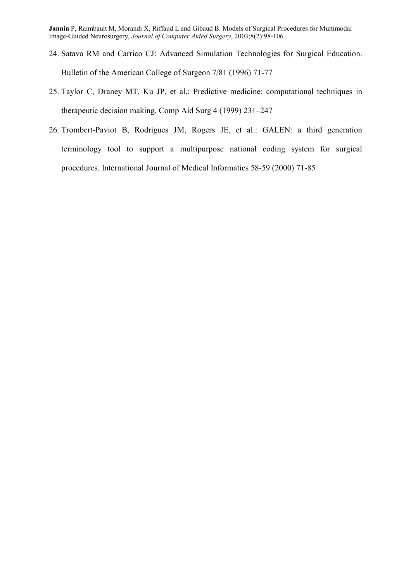- 24. Satava RM and Carrico CJ: Advanced Simulation Technologies for Surgical Education. Bulletin of the American College of Surgeon 7/81 (1996) 71-77
- 25. Taylor C, Draney MT, Ku JP, et al.: Predictive medicine: computational techniques in therapeutic decision making. Comp Aid Surg 4 (1999) 231–247
- 26. Trombert-Paviot B, Rodrigues JM, Rogers JE, et al.: GALEN: a third generation terminology tool to support a multipurpose national coding system for surgical procedures. International Journal of Medical Informatics 58-59 (2000) 71-85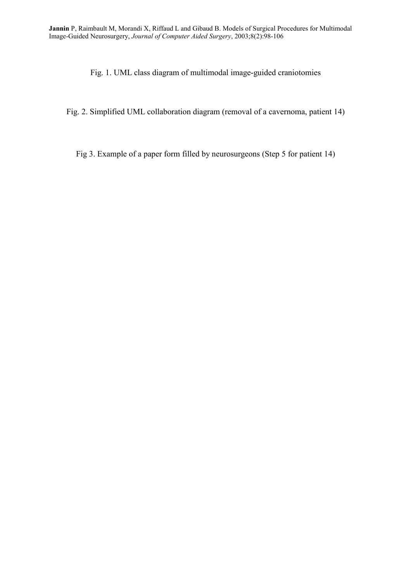Fig. 1. UML class diagram of multimodal image-guided craniotomies

Fig. 2. Simplified UML collaboration diagram (removal of a cavernoma, patient 14)

Fig 3. Example of a paper form filled by neurosurgeons (Step 5 for patient 14)